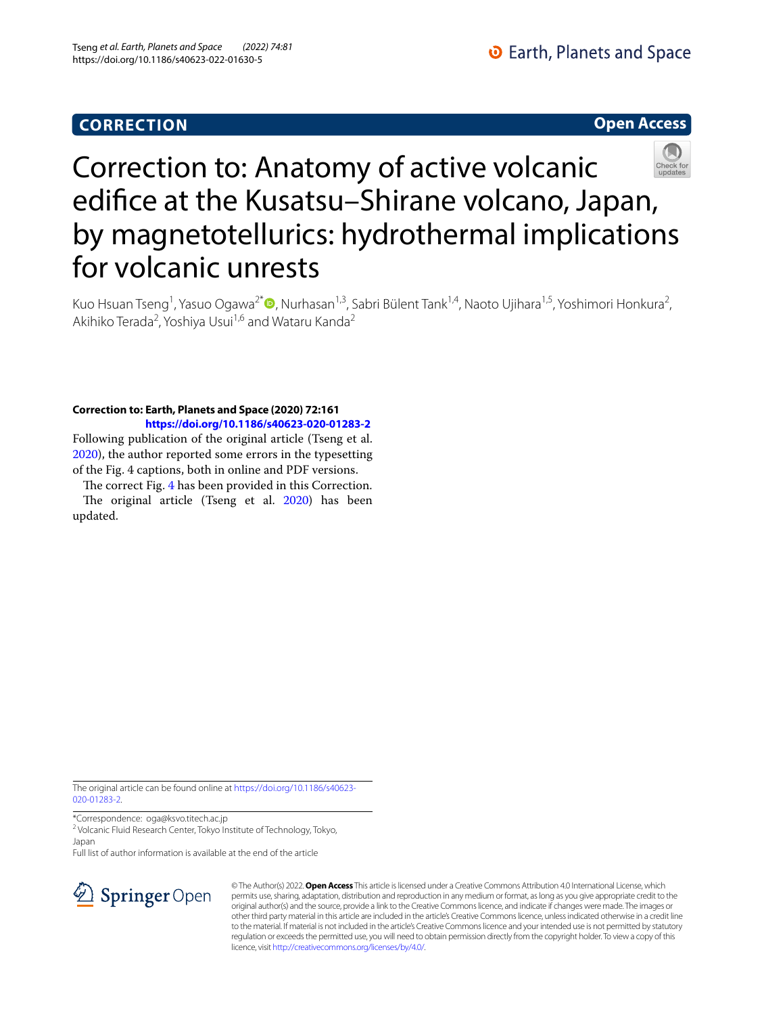**Open Access**



# Correction to: Anatomy of active volcanic edifce at the Kusatsu–Shirane volcano, Japan, by magnetotellurics: hydrothermal implications for volcanic unrests

Kuo Hsuan Tseng<sup>1</sup>, Yasuo Ogawa<sup>2[\\*](http://orcid.org/0000-0002-6663-401X)</sup> (**D**, Nurhasan<sup>1,3</sup>, Sabri Bülent Tank<sup>1,4</sup>, Naoto Ujihara<sup>1,5</sup>, Yoshimori Honkura<sup>2</sup>, Akihiko Terada<sup>2</sup>, Yoshiya Usui<sup>1,6</sup> and Wataru Kanda<sup>2</sup>

# **Correction to: Earth, Planets and Space (2020) 72:161 <https://doi.org/10.1186/s40623-020-01283-2>**

Following publication of the original article (Tseng et al. [2020](#page-1-0)), the author reported some errors in the typesetting of the Fig. 4 captions, both in online and PDF versions.

The correct Fig. [4](#page-1-1) has been provided in this Correction. The original article (Tseng et al. [2020\)](#page-1-0) has been updated.

The original article can be found online at [https://doi.org/10.1186/s40623-](https://doi.org/10.1186/s40623-020-01283-2) [020-01283-2](https://doi.org/10.1186/s40623-020-01283-2).

\*Correspondence: oga@ksvo.titech.ac.jp

<sup>2</sup> Volcanic Fluid Research Center, Tokyo Institute of Technology, Tokyo, Japan

Full list of author information is available at the end of the article



© The Author(s) 2022. **Open Access** This article is licensed under a Creative Commons Attribution 4.0 International License, which permits use, sharing, adaptation, distribution and reproduction in any medium or format, as long as you give appropriate credit to the original author(s) and the source, provide a link to the Creative Commons licence, and indicate if changes were made. The images or other third party material in this article are included in the article's Creative Commons licence, unless indicated otherwise in a credit line to the material. If material is not included in the article's Creative Commons licence and your intended use is not permitted by statutory regulation or exceeds the permitted use, you will need to obtain permission directly from the copyright holder. To view a copy of this licence, visit [http://creativecommons.org/licenses/by/4.0/.](http://creativecommons.org/licenses/by/4.0/)